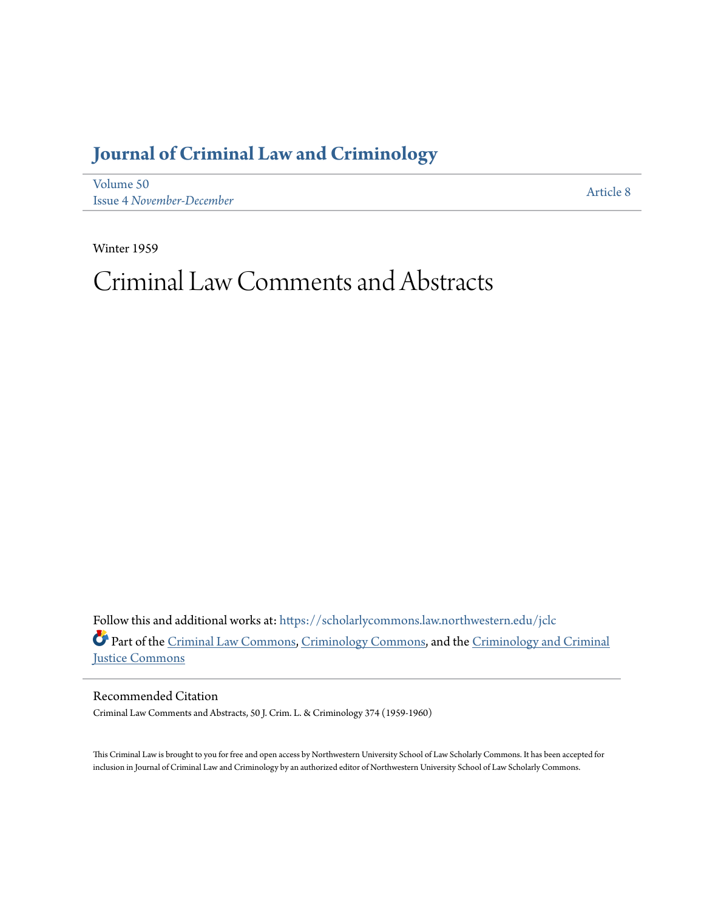## **[Journal of Criminal Law and Criminology](https://scholarlycommons.law.northwestern.edu/jclc?utm_source=scholarlycommons.law.northwestern.edu%2Fjclc%2Fvol50%2Fiss4%2F8&utm_medium=PDF&utm_campaign=PDFCoverPages)**

[Volume 50](https://scholarlycommons.law.northwestern.edu/jclc/vol50?utm_source=scholarlycommons.law.northwestern.edu%2Fjclc%2Fvol50%2Fiss4%2F8&utm_medium=PDF&utm_campaign=PDFCoverPages) Issue 4 *[November-December](https://scholarlycommons.law.northwestern.edu/jclc/vol50/iss4?utm_source=scholarlycommons.law.northwestern.edu%2Fjclc%2Fvol50%2Fiss4%2F8&utm_medium=PDF&utm_campaign=PDFCoverPages)*

[Article 8](https://scholarlycommons.law.northwestern.edu/jclc/vol50/iss4/8?utm_source=scholarlycommons.law.northwestern.edu%2Fjclc%2Fvol50%2Fiss4%2F8&utm_medium=PDF&utm_campaign=PDFCoverPages)

Winter 1959

# Criminal Law Comments and Abstracts

Follow this and additional works at: [https://scholarlycommons.law.northwestern.edu/jclc](https://scholarlycommons.law.northwestern.edu/jclc?utm_source=scholarlycommons.law.northwestern.edu%2Fjclc%2Fvol50%2Fiss4%2F8&utm_medium=PDF&utm_campaign=PDFCoverPages) Part of the [Criminal Law Commons](http://network.bepress.com/hgg/discipline/912?utm_source=scholarlycommons.law.northwestern.edu%2Fjclc%2Fvol50%2Fiss4%2F8&utm_medium=PDF&utm_campaign=PDFCoverPages), [Criminology Commons](http://network.bepress.com/hgg/discipline/417?utm_source=scholarlycommons.law.northwestern.edu%2Fjclc%2Fvol50%2Fiss4%2F8&utm_medium=PDF&utm_campaign=PDFCoverPages), and the [Criminology and Criminal](http://network.bepress.com/hgg/discipline/367?utm_source=scholarlycommons.law.northwestern.edu%2Fjclc%2Fvol50%2Fiss4%2F8&utm_medium=PDF&utm_campaign=PDFCoverPages) [Justice Commons](http://network.bepress.com/hgg/discipline/367?utm_source=scholarlycommons.law.northwestern.edu%2Fjclc%2Fvol50%2Fiss4%2F8&utm_medium=PDF&utm_campaign=PDFCoverPages)

Recommended Citation

Criminal Law Comments and Abstracts, 50 J. Crim. L. & Criminology 374 (1959-1960)

This Criminal Law is brought to you for free and open access by Northwestern University School of Law Scholarly Commons. It has been accepted for inclusion in Journal of Criminal Law and Criminology by an authorized editor of Northwestern University School of Law Scholarly Commons.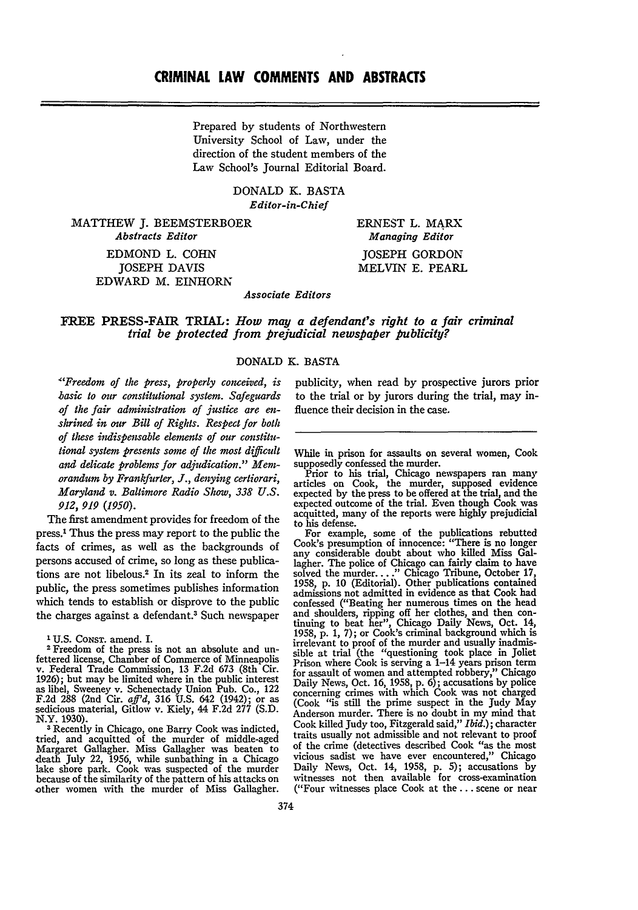Prepared by students of Northwestern University School of Law, under the direction of the student members of the Law School's Journal Editorial Board.

> DONALD K. BASTA *Editor-in-Chief*

MATTHEW **J.** BEEMSTERBOER *Abstracts Editor*

EDMOND L. COHN JOSEPH DAVIS EDWARD M. EINHORN ERNEST L. MARX *Managing Editor* **JOSEPH** GORDON MELVIN **E.** PEARL

*Associate Editors*

FREE PRESS-FAIR **TRIAL:** *How may a defendant's right to a fair criminal trial be protected from prejudicial newspaper publicity?*

#### **DONALD** K. **BASTA**

*"Freedom of the press, properly conceived, is hasic to our constitutional system. Safeguards of the fair administration of justice are enshrined in our Bill of Rights. Respect for both of these indispensable elements of our constitutional system presents some of the most difficult and delicate problems for adjudication." Memorandum by Frankfurter, J., denying certiorari, Maryland v. Baltimore Radio Show, 338 U.S. 912, 919 (1950).*

The first amendment provides for freedom of the press.' Thus the press may report to the public the facts of crimes, as well as the backgrounds of persons accused of crime, so long as these publications are not libelous.2 In its zeal to inform the public, the press sometimes publishes information which tends to establish or disprove to the public the charges against a defendant.<sup>3</sup> Such newspaper

'U.S. CoNsT. amend. I.

Freedom of the press is not an absolute and unfettered license, Chamber of Commerce of Minneapolis v. Federal Trade Commission, 13 F.2d 673 (8th Cir. 1926); but may be limited where in the public interest as libel, Sweeney v. Schenectady Union Pub. Co., 122 F.2d 288 (2nd Cir. *affd,* 316 U.S. 642 (1942); or as sedicious material, Gitlow v. Kiely, 44 F.2d 277 (S.D. N.Y. **1930).**

**3** Recently in Chicago, one Barry Cook was indicted, tried, and acquitted of the murder of middle-aged Margaret Gallagher. Miss Gallagher was beaten to death July 22, 1956, while sunbathing in a Chicago lake shore park. Cook was suspected of the murder because of the similarity of the pattern of his attacks on other women with the murder of Miss Gallagher. publicity, when read by prospective jurors prior to the trial or by jurors during the trial, may influence their decision in the case.

While in prison for assaults on several women, Cook supposedly confessed the murder.

Prior to his trial, Chicago newspapers ran many articles on Cook, the murder, supposed evidence expected by the press to be offered at the trial, and the expected outcome of the trial. Even though Cook was acquitted, many of the reports were highly prejudicial to his defense.

For example, some of the publications rebutted Cook's presumption of innocence: "There is no longer Cook's presumption of innocence: "There is no longer<br>any considerable doubt about who killed Miss Gal-<br>lagher. The police of Chicago can fairly claim to have<br>solved the murder...." Chicago Tribune, October 17,<br>1958, p. 10 admissions not admitted in evidence as that Cook had confessed ("Beating her numerous times on the head and shoulders, ripping off her clothes, and then con- tinuing to beat her", Chicago Daily News, Oct. 14, 1958, p. 1, 7); or Cook's criminal background which is irrelevant to proof of the murder and usually inadmissible at trial (the "questioning took place in Joliet Prison where Cook is serving a 1-14 years prison term for assault of women and attempted robbery," Chicago Daily News, Oct. 16, 1958, p. 6); accusations by police concerning crimes with which Cook was not charged (Cook "is still the prime suspect in the Judy May Anderson murder. There is no doubt in my mind that Cook killed Judy too, Fitzgerald said," *Ibid.);* character traits usually not admissible and not relevant to proof of the crime (detectives described Cook "as the most vicious sadist we have ever encountered," Chicago Daily News, Oct. 14, 1958, p. 5); accusations **by** witnesses not then available for cross-examination ("Four witnesses place Cook at the.., scene or near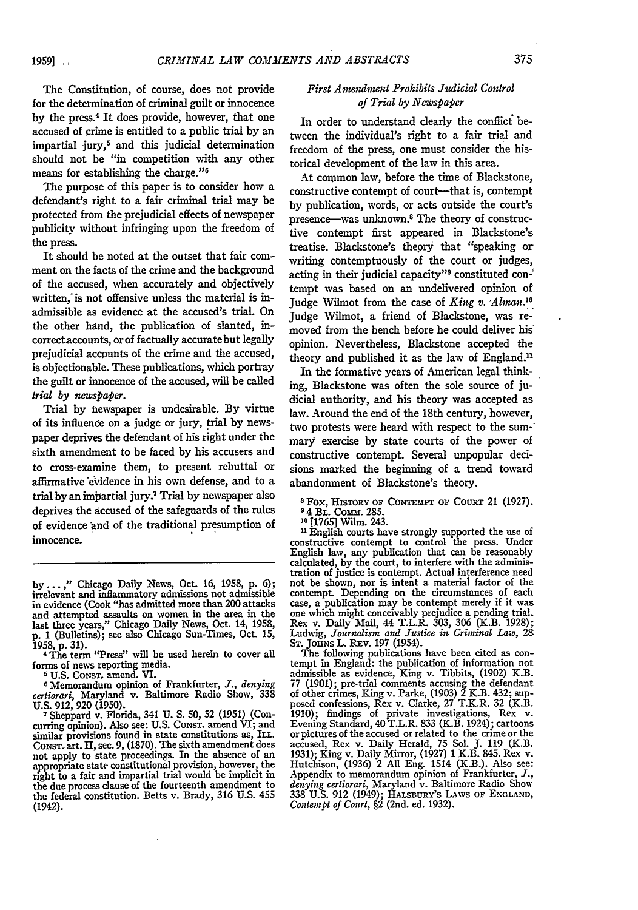The Constitution, of course, does not provide for the determination of criminal guilt or innocence by the press.4 It does provide, however, that one accused **of** crime is entitled to a public trial by an impartial jury,<sup>5</sup> and this judicial determination should not be "in competition with any other means for establishing the charge."<sup>6</sup>

The purpose of this paper is to consider how a defendant's right to a fair criminal trial may be protected from the prejudicial effects of newspaper publicity without infringing upon the freedom of the press.

It should be noted at the outset that fair comment on the facts of the crime and the background of the accused, when accurately and objectively written, is not offensive unless the material is inadmissible as evidence at the accused's trial. On the other hand, the publication of slanted, incorrectaccounts, or of factually accuratebut legally prejudicial accounts of the crime and the accused, is objectionable. These publications, which portray the guilt or innocence of the accused, will be called *trial by newspaper.*

Trial by newspaper is undesirable. By virtue of its influence on a judge or jury, trial by newspaper deprives the defendant of his right under the sixth amendment to be faced by his accusers and to cross-examine them, to present rebuttal or affirmative evidence in his own defense, and to a trial by an impartial jury.7 Trial by newspaper also deprives the accused of the safeguards of the rules of evidence and of the traditional presumption of innocence.

**5 U.S.** CONST. amend. VI.

**6** Memorandum opinion of Frankfurter, *J., denying certiorari,* Maryland v. Baltimore Radio Show, 338 **U.S.** 912, **920** (1950).

*7* Sheppard v. Florida, 341 **U. S.** 50, 52 (1951) (Concurring opinion). Also see: U.S. Const. amend VI; and similar provisions found in state constitutions as, ILL. **CONST.** art. IH, sec. 9, (1870). The sixth amendment does not apply to state proceedings. In the absence of an appropriate state constitutional provision, however, the right to a fair and impartial trial would be implicit in the due process clause of the fourteenth amendment to the federal constitution. Betts v. Brady, 316 U.S. 455 (1942).

#### *First Amendment Prohibits Judicial Control of Trial by Newspaper*

In order to understand clearly the conflict between the individual's right to a fair trial and freedom of the press, one must consider the historical development of the law in this area.

At common law, before the time of Blackstone, constructive contempt of court-that is, contempt by publication, words, or acts outside the court's presence--was unknown.8 The theory of constructive contempt first appeared in Blackstone's treatise. Blackstone's thepry that "speaking or writing contemptuously of the court or judges, acting in their judicial capacity"9 constituted con-' tempt was based on an undelivered opinion of Judge Wilmot from the case of *King v. -Alman.1* Judge Wilmot, a friend of Blackstone, was removed from the bench before he could deliver his' opinion. Nevertheless, Blackstone accepted the theory and published it as the law of England."

In the formative years of American legal thinking, Blackstone was often the sole source of judicial authority, and his theory was accepted as law. Around the end of the 18th century, however, two protests were heard with respect to the summary exercise by state courts of the power of constructive contempt. Several unpopular decisions marked the beginning of a trend toward abandonment of Blackstone's theory.

 $8$  Fox, HISTORY OF CONTEMPT OF COURT 21 (1927).

**<sup>94</sup>**BL. Comm. 285. **<sup>30</sup>**[1765] Wilm. 243.

**,1** English courts have strongly supported the use of constructive contempt to control the press. Under English law, any publication that can be reasonably calculated, by the court, to interfere with the administration of justice is contempt. Actual interference need not be shown, nor is intent a material factor of the contempt. Depending on the circumstances of each case, a publication may be contempt merely if it was case, a publication may be contempt merely if it was one which might conceivably prejudice a pending trial. Rex v. Daily Mail, 44 T.L.R. 303, 306 (K.B. 1928); Ludwig, *Journalism and Justice in Crininal Law, 28* **ST. JOHNS** L. REv. 197 (1954).

The following publications have been cited as contempt in England: the publication of information not admissible as evidence, King v. Tibbits, (1902) K.B.  $77$  (1901); pre-trial comments accusing the defendant of other crimes, King v. Parke, (1903) 2 K.B. 432; sup-posed confessions, Rex v. Clarke, 27 T.K.R. 32 (K.B. 1910); findings of private investigations, Rex v. Evening Standard, 40 T.L.R. 833 (K.B. 1924); cartoons or pictures of the accused or related to the crime or the accused, Rex v. Daily Herald, 75 Sol. **J.** 119 (K.B. 1931); King v. Daily Mirror, (1927) 1 K.B. 845. Rex v. Hutchison, (1936) 2 All Eng. 1514 (K.B.). Also see: Appendix to memorandum opinion of Frankfurter, *J., denying certiorari,* Maryland v. Baltimore Radio Show 338 U.S. 912 (1949); **HALSBURY's** LAWS or **ENGLAND,** *Contempt of Court,* §2 (2nd. ed. 1932).

by... ," Chicago Daily News, Oct. 16, 1958, p. 6); irrelevant and inflammatory admissions not admissible in evidence (Cook "has admitted more than 200 attacks and attempted assaults on women in the area in the last three years," Chicago Daily News, Oct. 14, 1958, p. 1 (Bulletins); see also Chicago Sun-Times, Oct. 15,

<sup>1958,</sup> p. 31). **<sup>4</sup>**The term "Press" will be used herein to cover all forms of news reporting media.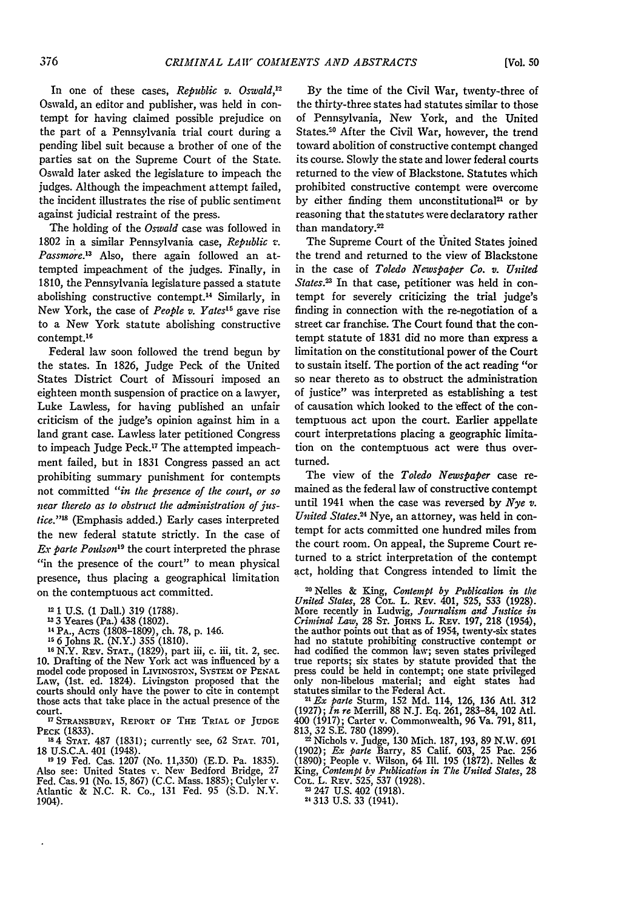*[Vol. 50*

In one of these cases, *Republic v. Oswald*,<sup>12</sup> Oswald, an editor and publisher, was held in contempt for having claimed possible prejudice on the part of a Pennsylvania trial court during a pending libel suit because a brother of one of the parties sat on the Supreme Court of the State. Oswald later asked the legislature to impeach the judges. Although the impeachment attempt failed, the incident illustrates the rise of public sentiment against judicial restraint of the press.

The holding of the *Oswald* case was followed in 1802 in a similar Pennsylvania case, *Republic v. Passmore.3* Also, there again followed an attempted impeachment of the judges. Finally, in 1810, the Pennsylvania legislature passed a statute abolishing constructive contempt.<sup>14</sup> Similarly, in New York, the case of *People v. Yates's* gave rise to a New York statute abolishing constructive contempt.'<sup>6</sup>

Federal law soon followed the trend begun by the states. In 1826, judge Peck of the United States District Court of Missouri imposed an eighteen month suspension of practice on a lawyer, Luke Lawless, for having published an unfair criticism of the judge's opinion against him in a land grant case. Lawless later petitioned Congress to impeach Judge Peck.'7 The attempted impeachment failed, but in 1831 Congress passed an act prohibiting summary punishment for contempts not committed *"in the presence of the court, or so near thereto as to obstruct the administration of juslice." <sup>1</sup>*(Emphasis added.) Early cases interpreted the new federal statute strictly. In the case of *Ex parte Poulson*<sup>19</sup> the court interpreted the phrase "in the presence of the court" to mean physical presence, thus placing a geographical limitation on the contemptuous act committed.

**1-** 1 U.S. (1 Dall.) 319 (1788).

**133** Yeares (Pa.) 438 (1802).

**1** PA., Acrs (1808-1809), ch. 78, **p.** 146. **1s** 6 Johns R. (N.Y.) **355** (1810).

**<sup>16</sup>**N.Y. REv. **STAT.,** (1829), part iii, c. iii, tit. 2, sec. 10. Drafting of the New York act was influenced by a model code proposed in LIVINGSTON, SYSTEM OF **PENAL** model code proposed in LIVINGSTON, SYSTEM OF PENAL LAW, (1st. ed. 1824). Livingston proposed that the courts should only have the power to cite in contempt those acts that take place in the actual presence of the court. **'7 STRANSBURY, REPORT OF** THE **TRIAL OF JUDGE**

**PEcK** (1833). **184 STAT.** 487 (1831); currently see, 62 **STAT.** 701,

<sup>18</sup> 4 STAT. 487 (1831); currently see, 62 STAT. 701, 18 U.S.C.A. 401 (1948).

**'1** 19 Fed. Cas. 1207 (No. 11,350) (E.D. Pa. 1835). Also see: United States v. New Bedford Bridge, 27 Fed. Cas. 91 (No. 15, 867) (C.C. Mass. 1885); Culyler v. Atlantic & N.C. R. Co., 131 Fed. 95 (S.D. N.Y. 1904).

By the time of the Civil War, twenty-three of the thirty-three states had statutes similar to those of Pennsylvania, New York, and the United States.<sup>20</sup> After the Civil War, however, the trend toward abolition of constructive contempt changed its course. Slowly the state and lower federal courts returned to the view of Blackstone. Statutes which prohibited constructive contempt were overcome by either finding them unconstitutional<sup>21</sup> or by reasoning that the statutes were declaratory rather than mandatory.<sup>22</sup>

The Supreme Court of the United States joined the trend and returned to the view of Blackstone in the case of *Toledo Newspaper Co. v. United* States.<sup>23</sup> In that case, petitioner was held in contempt for severely criticizing the trial judge's finding in connection with the re-negotiation of a street car franchise. The Court found that the contempt statute of 1831 did no more than express a limitation on the constitutional power of the Court to sustain itself. The portion of the act reading "or so near thereto as to obstruct the administration of justice" was interpreted as establishing a test of causation which looked to the effect of the contemptuous act upon the court. Earlier appellate court interpretations placing a geographic limitation on the contemptuous act were thus overturned.

The view of the *Toledo Newspaper* case remained as the federal law of constructive contempt until 1941 when the case was reversed by *Nye v. United States.24* Nye, an attorney, was held in contempt for acts committed one hundred miles from the court room. On appeal, the Supreme Court returned to a strict interpretation of the contempt act, holding that Congress intended to limit the

**2.0** Nelles & King, *Contempt by Publication in the United States,* 28 **COL.** L. REV. 401, 525, 533 (1928). More recently in Ludwig, *Journalism and Justice in Criminal Law,* 28 **ST. JoHNs** L. REv. 197, 218 (1954), the author points out that as of 1954, twenty-six states had no statute prohibiting constructive contempt or had codified the common law; seven states privileged true reports; six states by statute provided that the press could be held in contempt; one state privileged only non-libelous material; and eight states had statutes similar to the Federal Act.

*2" Ex parle* Sturm, 152 Md. 114, 126, 136 Atl. 312 (1927); *In re* Merrill, 88 N.J. Eq. 261, 283-84, 102 At. 400 (1917); Carter v. Commonwealth, 96 Va. 791, 811,

813, 32 S.E. 780 (1899). 2 Nichols v. Judge, 130 Mich. 187, 193, 89 N.W. 691 (1902); *Ex parte* Barry, 85 Calif. 603, 25 Pac. 256 (1890); People v. Wilson, 64 **11.** 195 (1872). Nelles & King, *Contempt by Publication in The United States,* 28 COL. L. REv. 525, 537 (1928).

247 U.S. 402 (1918). **24 313 U.S. 33** (1941).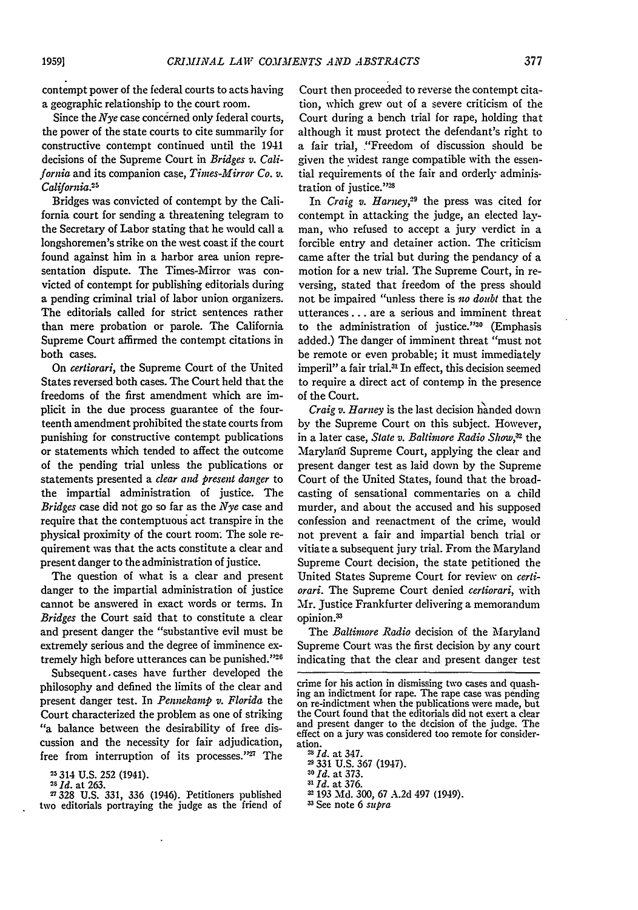contempt power of the federal courts to acts having a geographic relationship to the court room.

Since the *Nye* case concerned only federal courts, the power of the state courts to cite summarily for constructive contempt continued until the 1941 decisions **of** the Supreme Court in *Bridges v. California* and its companion case, *Times-Mirror Co. v.* California.<sup>25</sup>

Bridges was convicted of contempt by the California court for sending a threatening telegram to the Secretary of Labor stating that he would call a longshoremen's strike on the west coast if the court found against him in a harbor area union representation dispute. The Times-Mirror was convicted of contempt for publishing editorials during a pending criminal trial of labor union organizers. The editorials called for strict sentences rather than mere probation or parole. The California Supreme Court affirmed the contempt citations in both cases.

On *certiorari,* the Supreme Court of the United States reversed both cases. The Court held that the freedoms of the first amendment which are implicit in the due process guarantee of the fourteenth amendment prohibited the state courts from punishing for constructive contempt publications or statements which tended to affect the outcome of the pending trial unless the publications or statements presented a *clear and present danger* to the impartial administration of justice. The *Bridges* case did not go so far as the *Nye* case and require that the contemptuous act transpire in the physical proximity of the court room. The sole requirement was that the acts constitute a clear and present danger to the administration of justice.

The question of what is a dear and present danger to the impartial administration of justice cannot be answered in exact words or terms. In *Bridges* the Court said that to constitute a clear and present danger the "substantive evil must be extremely serious and the degree of imminence extremely high before utterances can be punished."<sup>26</sup>

Subsequent, cases have further developed the philosophy and defined the limits of the clear and present danger test. In *Pennekamp v. Florida* the Court characterized the problem as one of striking "a balance between the desirability of free discussion and the necessity for fair adjudication, free from interruption of its processes."<sup>27</sup> The

**<sup>25</sup>**314 U.S. 252 (1941).

**<sup>26</sup>***Id.* at 263.

2328 U.S. 331, 336 (1946). Petitioners published two editorials portraying the judge as the friend of

Court then proceeded to reverse the contempt citation, which grew out of a severe criticism of the Court during a bench trial for rape, holding that although it must protect the defendant's right to a fair trial, ."Freedom of discussion should be given the widest range compatible with the essential requirements of the fair and orderly administration of justice."<sup>28</sup>

In *Craig v. Harney*,<sup>29</sup> the press was cited for contempt in attacking the judge, an elected layman, who refused to accept a jury verdict in a forcible entry and detainer action. The criticism came after the trial but during the pendancy of a motion for a new trial. The Supreme Court, in reversing, stated that freedom of the press should not be impaired "unless there is *no doubt* that the utterances... are a serious and imminent threat to the administration of justice."<sup>30</sup> (Emphasis added.) The danger of imminent threat "must not be remote or even probable; it must immediately imperil" a fair trial.<sup>31</sup> In effect, this decision seemed to require a direct act of contemp in the presence of the Court.

*Craig v. Harney* is the last decision handed down by the Supreme Court on this subject. However, in a later case, *State v. Baltimore Radio Show*,<sup>32</sup> the Marylafd Supreme Court, applying the clear and present danger test as laid down by the Supreme Court of the United States, found that the broadcasting of sensational commentaries on a child murder, and about the accused and his supposed confession and reenactment of the crime, would not prevent a fair and impartial bench trial or vitiate a subsequent jury trial. From the Maryland Supreme Court decision, the state petitioned the United States Supreme Court for review on *certiorari.* The Supreme Court denied *certiorari,* with Mr. Justice Frankfurter delivering a memorandum opinion.<sup>33</sup>

The *Baltimore Radio* decision of the Maryland Supreme Court was the first decision by any court indicating that the clear and present danger test

- 
- *30 Id.* at 373.

*31 Id.* at 376. 193 Md. **300,** 67 A.2d 497 (1949).

**<sup>3</sup>**See note 6 *supra*

crime for his action in dismissing two cases and quash- ing an indictment for rape. The rape case was pending on re-indictment when the publications were made, but the Court found that the editorials did not exert a clear and present danger to the decision of the judge. The effect on a jury was considered too remote for consideration.

<sup>&</sup>lt;sup>28</sup>*Id.* at 347.<br><sup>29</sup> 331 U.S. 367 (1947)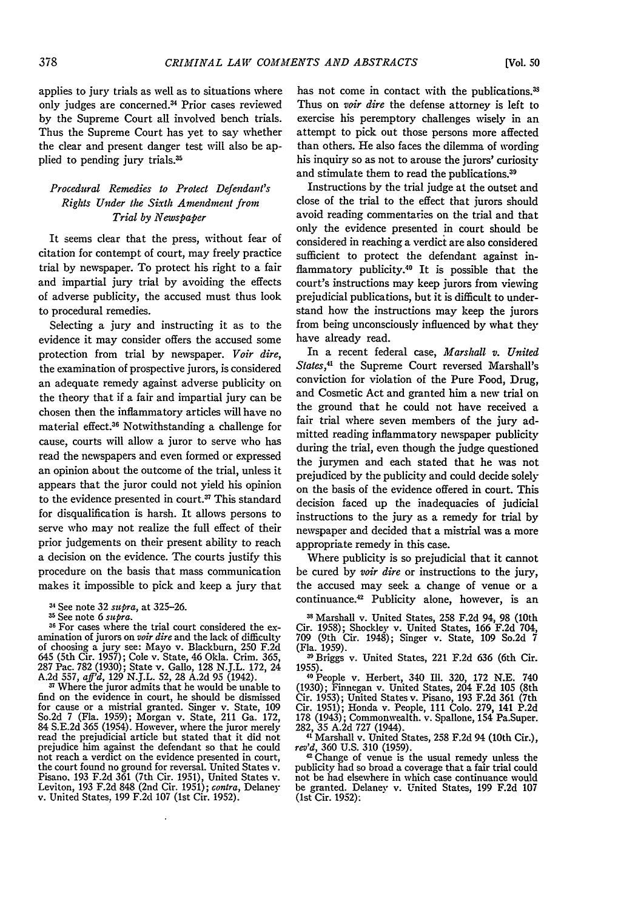applies to jury trials as well as to situations where only judges are concerned.<sup>34</sup> Prior cases reviewed by the Supreme Court all involved bench trials. Thus the Supreme Court has yet to say whether the clear and present danger test will also be applied to pending jury trials.?5

### *Procedural Remedies to Protect Defendant's Rights Under the Sixth Amendment from Trial by Newspaper*

It seems clear that the press, without fear of citation for contempt of court, may freely practice trial by newspaper. To protect his right to a fair and impartial jury trial **by** avoiding the effects of adverse publicity, the accused must thus look to procedural remedies.

Selecting a jury and instructing it as to the evidence it may consider offers the accused some protection from trial **by** newspaper. *Voir dire,* the examination of prospective jurors, is considered an adequate remedy against adverse publicity on the theory that if a fair and impartial jury can be chosen then the inflammatory articles will have no material effect.36 Notwithstanding a challenge for cause, courts will allow a juror to serve who has read the newspapers and even formed or expressed an opinion about the outcome of the trial, unless it appears that the juror could not yield his opinion to the evidence presented in court.<sup>37</sup> This standard for disqualification is harsh. It allows persons to serve who may not realize the full effect of their prior judgements on their present ability to reach a decision on the evidence. The courts justify this procedure on the basis that mass communication makes it impossible to pick and keep a jury that

<sup>34</sup> See note 32 *supra*, at 325-26.<br><sup>35</sup> See note 6 *supra*.

<sup>36</sup> For cases where the trial court considered the examination of jurors on *voir dire* and the lack of difficulty of choosing a jury see: Mayo v. Blackburn, 250 F.2d 645 (5th Cir. 1957); Cole v. State, 46 Okla. Crim. 365, 287 Pac. 782 (1930); State v. Gallo, 128 N.J.L. 172, 24 A.2d 557, *aff'd, 129* N.J.L. 52, 28 A.2d 95 (1942).

**<sup>37</sup>**Where the juror admits that he would be unable to find on the evidence in court, he should be dismissed for cause or a mistrial granted. Singer v. State, 109 So.2d 7 (Fla. 1959); Morgan v. State, 211 Ga. 172, 84 S.E.2d 365 (1954). However, where the juror merely read the prejudicial article but stated that it did not read the prejudicial article but stated that it did not prejudice him against the defendant so that he could not reach a verdict on the evidence presented in court, the court found no ground for reversal. United States v.<br>Pisano, 193 F.2d 361 (7th Cir. 1951), United States v.<br>Leviton, 193 F.2d 848 (2nd Cir. 1951); contra, Delaney<br>v. United States, 199 F.2d 107 (1st Cir. 1952). has not come in contact with the publications.<sup>38</sup> Thus on *voir dire* the defense attorney is left to exercise his peremptory challenges wisely in an attempt to pick out those persons more affected than others. He also faces the dilemma of wording his inquiry so as not to arouse the jurors' curiosity and stimulate them to read the publications.39

Instructions by the trial judge at the outset and close of the trial to the effect that jurors should avoid reading commentaries on the trial and that only the evidence presented in court should be considered in reaching a verdict are also considered sufficient to protect the defendant against inflammatory publicity.<sup>40</sup> It is possible that the court's instructions may keep jurors from viewing prejudicial publications, but it is difficult to understand how the instructions may keep the jurors from being unconsciously influenced by what they have already read.

In a recent federal case, *Marshall v. United* States,<sup>41</sup> the Supreme Court reversed Marshall's conviction for violation of the Pure Food, Drug, and Cosmetic Act and granted him a new trial on the ground that he could not have received a fair trial where seven members of the jury admitted reading inflammatory newspaper publicity during the trial, even though the judge questioned the jurymen and each stated that he was not prejudiced by the publicity and could decide solely on the basis of the evidence offered in court. This decision faced up the inadequacies of judicial instructions to the jury as a remedy for trial by newspaper and decided that a mistrial was a more appropriate remedy in this case.

Where publicity is so prejudicial that it cannot be cured by *voir dire* or instructions to the jury, the accused may seek a change of venue or a continuance.<sup>42</sup> Publicity alone, however, is an

s Marshall v. United States, 258 F.2d 94, 98 (10th Cir. 1958); Shockley v. United States, 166 F.2d 704, 709 (9th Cir. 1948); Singer v. State, 109 So.2d 7 (Fla. 1959).

39Briggs v. United States, 221 F.2d 636 (6th Cir.

1955). **<sup>40</sup>**People v. Herbert, 340 Ill. 320, 172 **N.E.** <sup>740</sup> (1930); Finnegan v. United States, 204 F.2d 105 (8th Cir. 1953); United States v. Pisano, 193 F.2d 361 (7th Cir. 1951); Honda v. People, 111 Colo. 279, 141 P.2d **178** (1943); Commonwealth. v. Spallone, 154 Pa.Super. 282, 35 A.2d 727 (1944). 41 Marshall v. United States, **258** F.2d 94 (10th Cir.),

<sup>*re</sup> Marshall v. United States, 258 F.2d 94 (10th Cir.),*  $rev'd$ , 360 U.S. 310 (1959).<br><sup>42</sup> Change of venue is the usual remedy unless the</sup>

publicity had so broad a coverage that a fair trial could not be had elsewhere in which case continuance would be granted. Delaney v. United States, 199 F.2d 107 (1st Cir. 1952):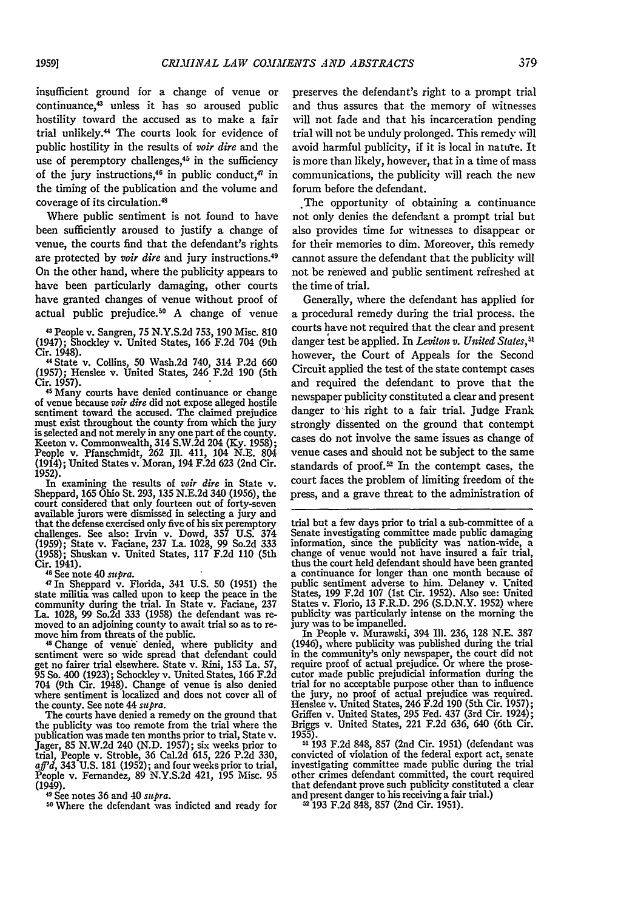insufficient ground for a change of venue or continuance,<sup>43</sup> unless it has so aroused public hostility toward the accused as to make a fair trial unlikely.44 The courts look for evidence of public hostility in the results of *voir dire* and the use of peremptory challenges,<sup>45</sup> in the sufficiency of the jury instructions,<sup>46</sup> in public conduct,<sup> $\pi$ </sup> in the timing of the publication and the volume and coverage of its circulation.<sup>48</sup>

Where public sentiment is not found to have been sufficiently aroused to justify a change of venue, the courts find that the defendant's rights are protected by *vair dire* and jury instructions.<sup>49</sup> On the other hand, where the publicity appears to have been particularly damaging, other courts have granted changes of venue without proof of actual public prejudice.<sup>50</sup> A change of venue

43 People v. Sangren, 75 N.Y.S.2d 753, 190 Misc. **810** (1947); Shockley v. United States, 166 F.2d 704 (9th Cir. 1948).

"State v. Collins, 50 Wash.2d 740, 314 P.2d 660 (1957); Henslee v. United States, 246 F.2d **190** (5th

<sup>45</sup> Many courts have denied continuance or change **of** venue because *voir dire* did not expose alleged hostile sentiment toward the accused. The claimed prejudice must exist throughout the county from which the jury is selected and not merely in any one part of the county. Keeton v. Commonwealth, 314 S.W.2d 204 (Ky. 1958); People v. Pfanschmidt, 262 Ill. 411, 104 N.E. 804 (1914); United States v. Moran, 194 F.2d 623 (2nd Cir. 1952). In examining the results of *voir dire* in State v.

In examining the results of *voir dire* in State v. Sheppard, 165 Ohio St. 293, **135** N.E.2d 340 (1956), the court considered that only fourteen out of forty-seven available jurors were dismissed in selecting a jury and that the defense exercised only five of his six peremptory challenges. See also: Irvin v. Dowd, **357** U.S. 374 (1959); State v. Faciane, 237 La. 1028, 99 So.2d 333 (1958); Shuskan v. United States, 117 F.2d 110 (5th Cir. 1941).<br><sup>46</sup> See note 40 *supra*.

<sup>47</sup> In Sheppard v. Florida, 341 U.S. 50 (1951) the state militia was called upon to keep the peace in the community during the trial. In State v. Faciane, **237** La. 1028, 99 So.2d 333 (1958) the defendant was re- moved to an adjoining county to await trial so as to removed to an adjoining county to await trial so as to remove him from threats of the public.

<sup>48</sup> Change of venue denied, where publicity and sentiment were so wide spread that defendant could get no fairer trial elsewhere. State v. Rini, 153 La. 57, 95 So. 400 (1923); Schockley v. United States, 166 F.2d 704 (9th Cir. 1948). Change of venue is also denied where sentiment is localized and does not cover all of the county. See note 44 *supra.*

The courts have denied a remedy on the ground that the publicity was too remote from the trial where the publication was made ten months prior to trial, State v.<br>Jager, 85 N.W.2d 240 (N.D. 1957); six weeks prior to<br>trial, People v. Stroble, 36 Cal.2d 615, 226 P.2d 330,<br> $\alpha f^2d$ , 343 U.S. 181 (1952); and four weeks prior to tr (1949). 4 See notes 36 and 40 *supra.*

**<sup>50</sup>**Where the defendant was indicted and ready for

preserves the defendant's right to a prompt trial and thus assures that the memory of witnesses will not fade and that his incarceration pending trial will not be unduly prolonged. This remedy will avoid harmful publicity, if it is local in nature. It is more than likely, however, that in a time of mass communications, the publicity will reach the new forum before the defendant.

.The opportunity of obtaining a continuance not only denies the defendant a prompt trial but also provides time for witnesses to disappear or for their memories to dim. Moreover, this remedy cannot assure the defendant that the publicity will not be renewed and public sentiment refreshed at the time of trial.

Generally, where the defendant has applied for a procedural remedy during the trial process. the courts have not required that the clear and present  $d$ anger test be applied. In *Leviton v. United States*,<sup>51</sup> however, the Court of Appeals for the Second Circuit applied the test of the state contempt cases and required the defendant to prove that the newspaper publicity constituted a clear and present danger to his right to a fair trial. Judge Frank strongly dissented on the ground that contempt cases do not involve the same issues as change of venue cases and should not be subject to the same standards of proof. $52$  In the contempt cases, the court faces the problem of limiting freedom of the press, and a grave threat to the administration of

jury was to be impanelled. In People v. Murawski, 394 Ill. 236, **128** N.E. 387 In People v. Murawski, 394 Ill. 236, 128 N.E. 387 (1946), where publicity was published during the trial in the community's only newspaper, the court did not require proof of actual prejudice. Or where the prosecutor made public prejudicial information during the trial for no acceptable purpose other than to influence the jury, no proof of actual prejudice was required. Henslee v. United States, 246 F.2d **190** (5th Cir. 1957); Griffen v. United States, 295 Fed. 437 (3rd Cir. 1924); Briggs v. United States, 221 F.2d 636, 640 (6th Cir. 1955).

**51 193 F.2d** 848, **857** (2nd Cir. 1951) (defendant was convicted of violation of the federal export act, senate investigating committee made public during the trial other crimes defendant committed, the court required that defendant prove such publicity constituted a clear and present danger to his receiving a fair trial.) **<sup>52</sup>**193 F.2d 848, 857 (2nd Cir. 1951).

trial but a few days prior to trial a sub-committee of a Senate investigating committee made public damaging information, since the publicity was nation-wide, a change of venue would not have insured a fair trial, thus the court held defendant should have been granted a continuance for longer than one month because of public sentiment adverse to him. Delaney v. United States, 199 F.2d 107 (1st Cir. 1952). Also see: United States v. Florio, 13 F.R.D. **296** (S.D.N.Y. 1952) where publicity was particularly intense on the morning the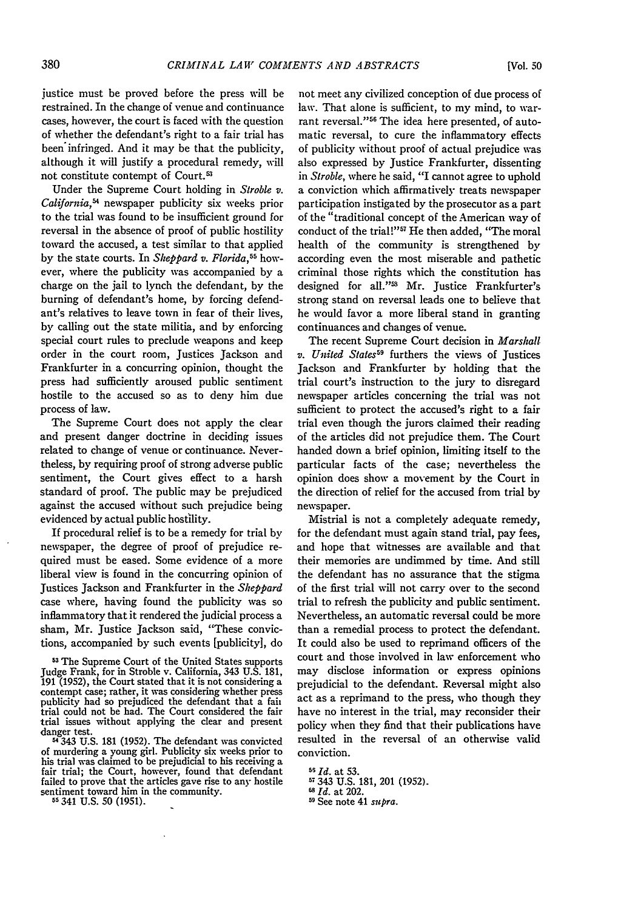justice must be proved before the press will be restrained. In the change of venue and continuance cases, however, the court is faced with the question of whether the defendant's right to a fair trial has been infringed. And it may be that the publicity, although it will justify a procedural remedy, will not constitute contempt of Court.<sup>53</sup>

Under the Supreme Court holding in *Stroble v. California*,<sup>54</sup> newspaper publicity six weeks prior to the trial was found to be insufficient ground for reversal in the absence of proof of public hostility toward the accused, a test similar to that applied by the state courts. In *Sheppard v. Florida,55* however, where the publicity was accompanied by a charge on the jail to lynch the defendant, by the burning of defendant's home, by forcing defendant's relatives to leave town in fear of their lives, by calling out the state militia, and by enforcing special court rules to preclude weapons and keep order in the court room, Justices Jackson and Frankfurter in a concurring opinion, thought the press had sufficiently aroused public sentiment hostile to the accused so as to deny him due process of law.

The Supreme Court does not apply the clear and present danger doctrine in deciding issues related to change of venue or continuance. Nevertheless, by requiring proof of strong adverse public sentiment, the Court gives effect to a harsh standard of proof. The public may be prejudiced against the accused without such prejudice being evidenced by actual public hostility.

If procedural relief is to be a remedy for trial by newspaper, the degree of proof of prejudice required must be eased. Some evidence of a more liberal view is found in the concurring opinion of Justices Jackson and Frankfurter in the *Sheppard* case where, having found the publicity was so inflammatory that it rendered the judicial process a sham, Mr. Justice Jackson said, "These convictions, accompanied by such events [publicity], do

 $\frac{343 \text{ U.S.}}{181 \text{ (1952)}}$ . The defendant was convicted of murdering a young girl. Publicity six weeks prior to fair trial; the Court, however, found that defendant failed to prove that the articles gave rise to any hostile sentiment toward him in the community. **5s 341 U.S. 50 (1951).**

not meet any civilized conception of due process of law. That alone is sufficient, to my mind, to warrant reversal."<sup>56</sup> The idea here presented, of automatic reversal, to cure the inflammatory effects of publicity without proof of actual prejudice was also expressed by Justice Frankfurter, dissenting in *Stroble,* where he said, "I cannot agree to uphold a conviction which affirmatively treats newspaper participation instigated by the prosecutor as a part of the "traditional concept of the American way of conduct of the trial!"<sup>57</sup> He then added, "The moral health of the community is strengthened by according even the most miserable and pathetic criminal those rights which the constitution has designed for all."<sup>38</sup> Mr. Justice Frankfurter's strong stand on reversal leads one to believe that he would favor a more liberal stand in granting continuances and changes of venue.

The recent Supreme Court decision in *Marshall v. United States59* furthers the views of Justices Jackson and Frankfurter by holding that the trial court's instruction to the jury to disregard newspaper articles concerning the trial was not sufficient to protect the accused's right to a fair trial even though the jurors claimed their reading of the articles did not prejudice them. The Court handed down a brief opinion, limiting itself to the particular facts of the case; nevertheless the opinion does show a movement by the Court in the direction of relief for the accused from trial by newspaper.

Mistrial is not a completely adequate remedy, for the defendant must again stand trial, pay fees, and hope that witnesses are available and that their memories are undimmed by time. And still the defendant has no assurance that the stigma of the first trial will not carry over to the second trial to refresh the publicity and public sentiment. Nevertheless, an automatic reversal could be more than a remedial process to protect the defendant. It could also be used to reprimand officers of the court and those involved in law enforcement who may disclose information or express opinions prejudicial to the defendant. Reversal might also act as a reprimand to the press, who though they have no interest in the trial, may reconsider their policy when they find that their publications have resulted in the reversal of an otherwise valid conviction.

**<sup>53</sup>** The Supreme Court of the United States supports Judge Frank, for in Stroble v. California, 343 U.S. 181, 191 (1952), the Court stated that it is not considering a contempt case; rather, it was considering whether press publicity had so prejudiced the defendant that a fait trial could not be had. The Court considered the fair trial issues without applying the clear and present

**<sup>56</sup>** *Id.* at **53.**

**<sup>57343</sup> U.S.** 181, 201 (1952). **<sup>61</sup>***Id.* at 202.

**<sup>5</sup>** See note 41 supra.